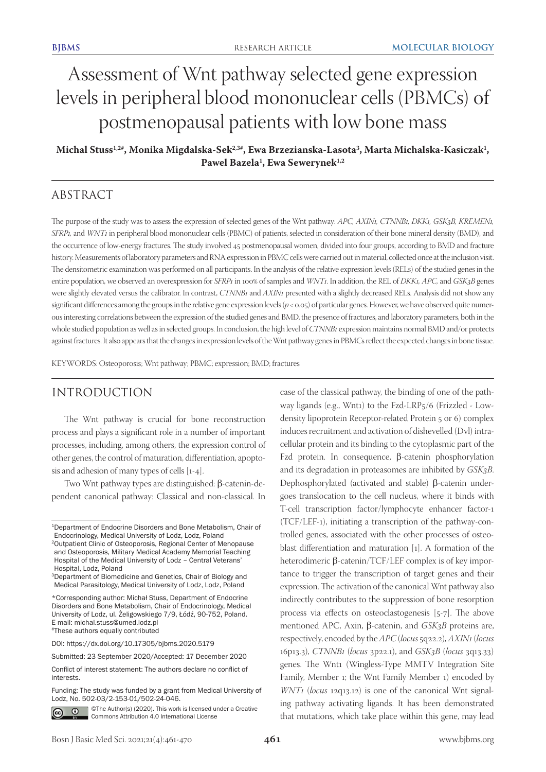# Assessment of Wnt pathway selected gene expression levels in peripheral blood mononuclear cells (PBMCs) of postmenopausal patients with low bone mass

**Michal Stuss1,2#, Monika Migdalska-Sek2,3#, Ewa Brzezianska-Lasota3 , Marta Michalska-Kasiczak1 , Pawel Bazela1 , Ewa Sewerynek1,2**

# ABSTRACT

The purpose of the study was to assess the expression of selected genes of the Wnt pathway: *APC, AXIN1, CTNNB1, DKK1, GSK3B, KREMEN1, SFRP1,* and *WNT1* in peripheral blood mononuclear cells (PBMC) of patients, selected in consideration of their bone mineral density (BMD), and the occurrence of low-energy fractures. The study involved 45 postmenopausal women, divided into four groups, according to BMD and fracture history. Measurements of laboratory parameters and RNA expression in PBMC cells were carried out in material, collected once at the inclusion visit. The densitometric examination was performed on all participants. In the analysis of the relative expression levels (RELs) of the studied genes in the entire population, we observed an overexpression for *SFRP1* in 100% of samples and *WNT1*. In addition, the REL of *DKK1, APC,* and *GSK3B* genes were slightly elevated versus the calibrator. In contrast, *CTNNB1* and *AXIN1* presented with a slightly decreased RELs. Analysis did not show any significant differences among the groups in the relative gene expression levels (*p* < 0.05) of particular genes. However, we have observed quite numerous interesting correlations between the expression of the studied genes and BMD, the presence of fractures, and laboratory parameters, both in the whole studied population as well as in selected groups. In conclusion, the high level of *CTNNB1* expression maintains normal BMD and/or protects against fractures. It also appears that the changes in expression levels of the Wnt pathway genes in PBMCs reflect the expected changes in bone tissue.

KEYWORDS: Osteoporosis; Wnt pathway; PBMC; expression; BMD; fractures

# INTRODUCTION

The Wnt pathway is crucial for bone reconstruction process and plays a significant role in a number of important processes, including, among others, the expression control of other genes, the control of maturation, differentiation, apoptosis and adhesion of many types of cells [1-4].

Two Wnt pathway types are distinguished: β-catenin-dependent canonical pathway: Classical and non-classical. In

Funding: The study was funded by a grant from Medical University of Lodz, No. 502-03/2-153-01/502-24-046.



©The Author(s) (2020). This work is licensed under a Creative Commons Attribution 4.0 International License

case of the classical pathway, the binding of one of the pathway ligands (e.g., Wnt1) to the Fzd-LRP5/6 (Frizzled - Lowdensity lipoprotein Receptor-related Protein 5 or 6) complex induces recruitment and activation of dishevelled (Dvl) intracellular protein and its binding to the cytoplasmic part of the Fzd protein. In consequence, β-catenin phosphorylation and its degradation in proteasomes are inhibited by *GSK3B*. Dephosphorylated (activated and stable) β-catenin undergoes translocation to the cell nucleus, where it binds with T-cell transcription factor/lymphocyte enhancer factor-1 (TCF/LEF-1), initiating a transcription of the pathway-controlled genes, associated with the other processes of osteoblast differentiation and maturation [1]. A formation of the heterodimeric β-catenin/TCF/LEF complex is of key importance to trigger the transcription of target genes and their expression. The activation of the canonical Wnt pathway also indirectly contributes to the suppression of bone resorption process via effects on osteoclastogenesis [5-7]. The above mentioned APC, Axin, β-catenin, and *GSK3B* proteins are, respectively, encoded by the *APC* (*locus* 5q22.2)*, AXIN1* (*locus*  16p13.3)*, CTNNB1* (*locus* 3p22.1), and *GSK3B* (*locus* 3q13.33) genes. The Wnt1 (Wingless-Type MMTV Integration Site Family, Member 1; the Wnt Family Member 1) encoded by *WNT1* (*locus* 12q13.12) is one of the canonical Wnt signaling pathway activating ligands. It has been demonstrated that mutations, which take place within this gene, may lead

<sup>1</sup>Department of Endocrine Disorders and Bone Metabolism, Chair of Endocrinology, Medical University of Lodz, Lodz, Poland

<sup>2</sup>Outpatient Clinic of Osteoporosis, Regional Center of Menopause and Osteoporosis, Military Medical Academy Memorial Teaching Hospital of the Medical University of Lodz – Central Veterans' Hospital, Lodz, Poland

<sup>3</sup>Department of Biomedicine and Genetics, Chair of Biology and Medical Parasitology, Medical University of Lodz, Lodz, Poland

<sup>\*</sup>Corresponding author: Michał Stuss, Department of Endocrine Disorders and Bone Metabolism, Chair of Endocrinology, Medical University of Lodz, ul. Żeligowskiego 7/9, Łódź, 90-752, Poland. E-mail: michal.stuss@umed.lodz.pl #These authors equally contributed

DOI: https://dx.doi.org/10.17305/bjbms.2020.5179

Submitted: 23 September 2020/Accepted: 17 December 2020

Conflict of interest statement: The authors declare no conflict of interests.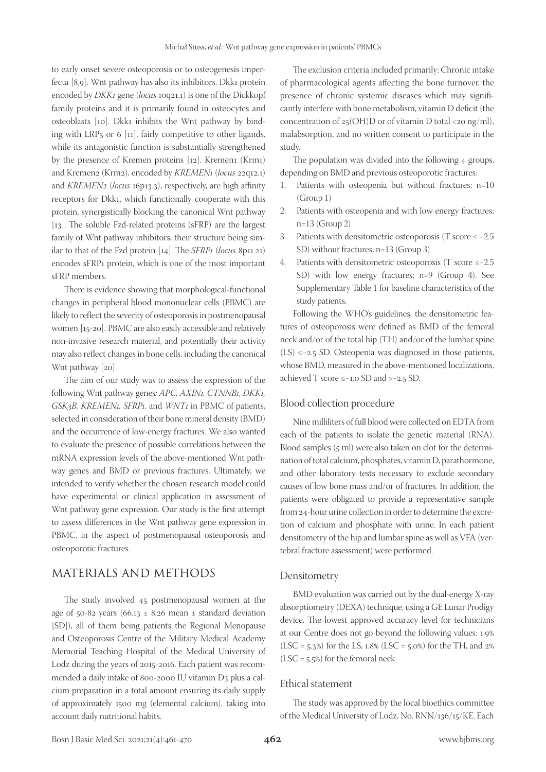to early onset severe osteoporosis or to osteogenesis imperfecta [8,9]. Wnt pathway has also its inhibitors. Dkk1 protein encoded by *DKK1* gene (*locus* 10q21.1) is one of the Dickkopf family proteins and it is primarily found in osteocytes and osteoblasts [10]. Dkk1 inhibits the Wnt pathway by binding with LRP5 or 6 [11], fairly competitive to other ligands, while its antagonistic function is substantially strengthened by the presence of Kremen proteins [12]. Kremen1 (Krm1) and Kremen2 (Krm2), encoded by *KREMEN1* (*locus* 22q12.1) and *KREMEN2* (*locus* 16p13.3), respectively, are high affinity receptors for Dkk1, which functionally cooperate with this protein, synergistically blocking the canonical Wnt pathway [13]. The soluble Fzd-related proteins (sFRP) are the largest family of Wnt pathway inhibitors, their structure being similar to that of the Fzd protein [14]. The *SFRP1* (*locus* 8p11.21) encodes sFRP1 protein, which is one of the most important sFRP members.

There is evidence showing that morphological-functional changes in peripheral blood mononuclear cells (PBMC) are likely to reflect the severity of osteoporosis in postmenopausal women [15-20]. PBMC are also easily accessible and relatively non-invasive research material, and potentially their activity may also reflect changes in bone cells, including the canonical Wnt pathway [20].

The aim of our study was to assess the expression of the following Wnt pathway genes*: APC, AXIN1, CTNNB1, DKK1, GSK3B, KREMEN1, SFRP1,* and *WNT1* in PBMC of patients, selected in consideration of their bone mineral density (BMD) and the occurrence of low-energy fractures. We also wanted to evaluate the presence of possible correlations between the mRNA expression levels of the above-mentioned Wnt pathway genes and BMD or previous fractures. Ultimately, we intended to verify whether the chosen research model could have experimental or clinical application in assessment of Wnt pathway gene expression. Our study is the first attempt to assess differences in the Wnt pathway gene expression in PBMC, in the aspect of postmenopausal osteoporosis and osteoporotic fractures.

# MATERIALS AND METHODS

The study involved 45 postmenopausal women at the age of 50-82 years (66.13  $\pm$  8.26 mean  $\pm$  standard deviation [SD]), all of them being patients the Regional Menopause and Osteoporosis Centre of the Military Medical Academy Memorial Teaching Hospital of the Medical University of Lodz during the years of 2015-2016. Each patient was recommended a daily intake of 800-2000 IU vitamin D3 plus a calcium preparation in a total amount ensuring its daily supply of approximately 1500 mg (elemental calcium), taking into account daily nutritional habits.

The exclusion criteria included primarily: Chronic intake of pharmacological agents affecting the bone turnover, the presence of chronic systemic diseases which may significantly interfere with bone metabolism, vitamin D deficit (the concentration of  $25(OH)D$  or of vitamin D total <20 ng/ml), malabsorption, and no written consent to participate in the study.

The population was divided into the following 4 groups, depending on BMD and previous osteoporotic fractures:

- 1. Patients with osteopenia but without fractures; n=10 (Group 1)
- 2. Patients with osteopenia and with low energy fractures; n=13 (Group 2)
- 3. Patients with densitometric osteoporosis (T score ≤ −2.5 SD) without fractures; n=13 (Group 3)
- 4. Patients with densitometric osteoporosis (T score ≤−2.5 SD) with low energy fractures; n=9 (Group 4). See Supplementary Table 1 for baseline characteristics of the study patients.

Following the WHO's guidelines, the densitometric features of osteoporosis were defined as BMD of the femoral neck and/or of the total hip (TH) and/or of the lumbar spine (LS) ≤−2.5 SD. Osteopenia was diagnosed in those patients, whose BMD, measured in the above-mentioned localizations, achieved T score ≤−1.0 SD and >−2.5 SD.

#### Blood collection procedure

Nine milliliters of full blood were collected on EDTA from each of the patients to isolate the genetic material (RNA). Blood samples (5 ml) were also taken on clot for the determination of total calcium, phosphates, vitamin D, parathormone, and other laboratory tests necessary to exclude secondary causes of low bone mass and/or of fractures. In addition, the patients were obligated to provide a representative sample from 24-hour urine collection in order to determine the excretion of calcium and phosphate with urine. In each patient densitometry of the hip and lumbar spine as well as VFA (vertebral fracture assessment) were performed.

#### Densitometry

BMD evaluation was carried out by the dual-energy X-ray absorptiometry (DEXA) technique, using a GE Lunar Prodigy device. The lowest approved accuracy level for technicians at our Centre does not go beyond the following values: 1.9% (LSC =  $5.3\%$ ) for the LS,  $1.8\%$  (LSC =  $5.0\%$ ) for the TH, and  $2\%$  $(LSC = 5.5%)$  for the femoral neck.

#### Ethical statement

The study was approved by the local bioethics committee of the Medical University of Lodz, No. RNN/136/15/KE. Each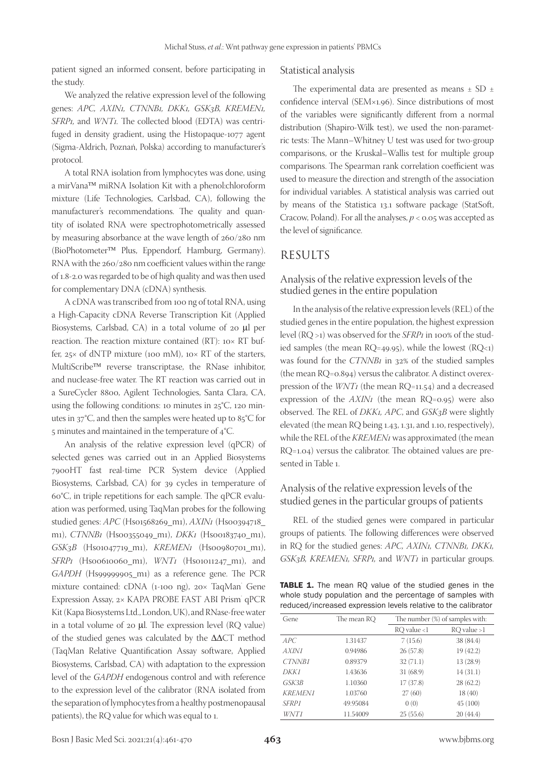patient signed an informed consent, before participating in the study.

## Statistical analysis

We analyzed the relative expression level of the following genes: *APC, AXIN1, CTNNB1, DKK1, GSK3B, KREMEN1, SFRP1,* and *WNT1.* The collected blood (EDTA) was centrifuged in density gradient, using the Histopaque-1077 agent (Sigma-Aldrich, Poznań, Polska) according to manufacturer's protocol.

A total RNA isolation from lymphocytes was done, using a mirVana™ miRNA Isolation Kit with a phenol:chloroform mixture (Life Technologies, Carlsbad, CA), following the manufacturer's recommendations. The quality and quantity of isolated RNA were spectrophotometrically assessed by measuring absorbance at the wave length of 260/280 nm (BioPhotometer Plus, Eppendorf, Hamburg, Germany). RNA with the 260/280 nm coefficient values within the range of 1.8-2.0 was regarded to be of high quality and was then used for complementary DNA (cDNA) synthesis.

A cDNA was transcribed from 100 ng of total RNA, using a High-Capacity cDNA Reverse Transcription Kit (Applied Biosystems, Carlsbad, CA) in a total volume of 20 μl per reaction. The reaction mixture contained (RT): 10× RT buffer,  $25 \times$  of dNTP mixture (100 mM), 10 $\times$  RT of the starters, MultiScribe<sup>TM</sup> reverse transcriptase, the RNase inhibitor, and nuclease-free water. The RT reaction was carried out in a SureCycler 8800, Agilent Technologies, Santa Clara, CA, using the following conditions: 10 minutes in  $25^{\circ}C$ , 120 minutes in 37°C, and then the samples were heated up to 85°C for 5 minutes and maintained in the temperature of 4°C.

An analysis of the relative expression level (qPCR) of selected genes was carried out in an Applied Biosystems 7900HT fast real-time PCR System device (Applied Biosystems, Carlsbad, CA) for 39 cycles in temperature of 60°C, in triple repetitions for each sample. The qPCR evaluation was performed, using TaqMan probes for the following studied genes: *APC* (Hs01568269\_m1), *AXIN1* (Hs00394718\_ m1), *CTNNB1* (Hs00355049\_m1), *DKK1* (Hs00183740\_m1), *GSK3B* (Hs01047719\_m1), *KREMEN1* (Hs00980701\_m1), *SFRP1* (Hs00610060\_m1), *WNT1* (Hs01011247\_m1), and *GAPDH* (Hs99999905\_m1) as a reference gene. The PCR mixture contained: cDNA (1-100 ng), 20× TaqMan® Gene Expression Assay, 2× KAPA PROBE FAST ABI Prism qPCR Kit (Kapa Biosystems Ltd., London, UK), and RNase-free water in a total volume of 20 μl. The expression level (RQ value) of the studied genes was calculated by the ΔΔCT method (TaqMan Relative Quantification Assay software, Applied Biosystems, Carlsbad, CA) with adaptation to the expression level of the *GAPDH* endogenous control and with reference to the expression level of the calibrator (RNA isolated from the separation of lymphocytes from a healthy postmenopausal patients), the RQ value for which was equal to 1.

The experimental data are presented as means  $\pm$  SD  $\pm$ confidence interval (SEM×1.96). Since distributions of most of the variables were significantly different from a normal distribution (Shapiro-Wilk test), we used the non-parametric tests: The Mann–Whitney U test was used for two-group comparisons, or the Kruskal–Wallis test for multiple group comparisons. The Spearman rank correlation coefficient was used to measure the direction and strength of the association for individual variables. A statistical analysis was carried out by means of the Statistica 13.1 software package (StatSoft, Cracow, Poland). For all the analyses, *p* < 0.05 was accepted as the level of significance.

## RESULTS

## Analysis of the relative expression levels of the studied genes in the entire population

In the analysis of the relative expression levels (REL) of the studied genes in the entire population, the highest expression level (RQ >1) was observed for the *SFRP1* in 100% of the studied samples (the mean  $RQ = 49.95$ ), while the lowest  $(RQ < 1)$ was found for the *CTNNB1* in 32% of the studied samples (the mean RQ=0.894) versus the calibrator. A distinct overexpression of the *WNT1* (the mean RQ=11.54) and a decreased expression of the *AXIN1* (the mean RQ=0.95) were also observed. The REL of *DKK1, APC*, and *GSK3B* were slightly elevated (the mean RQ being 1.43, 1.31, and 1.10, respectively), while the REL of the *KREMEN1* was approximated (the mean RQ=1.04) versus the calibrator. The obtained values are presented in Table 1.

## Analysis of the relative expression levels of the studied genes in the particular groups of patients

REL of the studied genes were compared in particular groups of patients. The following differences were observed in RQ for the studied genes: *APC, AXIN1, CTNNB1, DKK1, GSK3B, KREMEN1, SFRP1,* and *WNT1* in particular groups.

TABLE 1. The mean RQ value of the studied genes in the whole study population and the percentage of samples with reduced/increased expression levels relative to the calibrator

| Gene           | The mean RO | The number (%) of samples with: |                 |  |
|----------------|-------------|---------------------------------|-----------------|--|
|                |             | $RQ$ value <1                   | $RQ$ value $>1$ |  |
| APC            | 1.31437     | 7(15.6)                         | 38 (84.4)       |  |
| AXINI          | 0.94986     | 26(57.8)                        | 19 (42.2)       |  |
| CTNNB1         | 0.89379     | 32(71.1)                        | 13 (28.9)       |  |
| DKK1           | 1.43636     | 31 (68.9)                       | 14(31.1)        |  |
| GSK3B          | 1.10360     | 17(37.8)                        | 28(62.2)        |  |
| <b>KREMEN1</b> | 1.03760     | 27(60)                          | 18 (40)         |  |
| <b>SFRP1</b>   | 49.95084    | 0(0)                            | 45(100)         |  |
| WNT1           | 11.54009    | 25(55.6)                        | 20(44.4)        |  |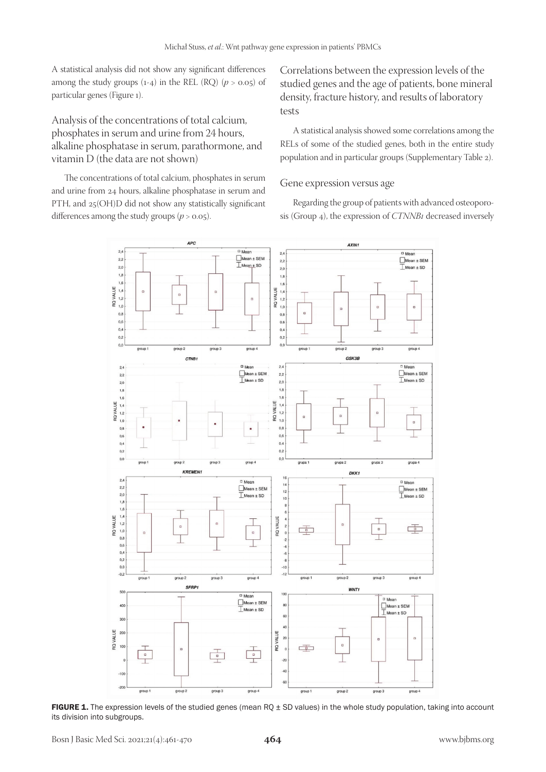A statistical analysis did not show any significant differences among the study groups  $(1-4)$  in the REL  $(RQ)$   $(p > 0.05)$  of particular genes (Figure 1).

Analysis of the concentrations of total calcium, phosphates in serum and urine from 24 hours, alkaline phosphatase in serum, parathormone, and vitamin D (the data are not shown)

The concentrations of total calcium, phosphates in serum and urine from 24 hours, alkaline phosphatase in serum and PTH, and 25(OH)D did not show any statistically significant differences among the study groups  $(p > 0.05)$ .

Correlations between the expression levels of the studied genes and the age of patients, bone mineral density, fracture history, and results of laboratory tests

A statistical analysis showed some correlations among the RELs of some of the studied genes, both in the entire study population and in particular groups (Supplementary Table 2).

#### Gene expression versus age

Regarding the group of patients with advanced osteoporosis (Group 4), the expression of *CTNNB1* decreased inversely



FIGURE 1. The expression levels of the studied genes (mean RQ  $\pm$  SD values) in the whole study population, taking into account its division into subgroups.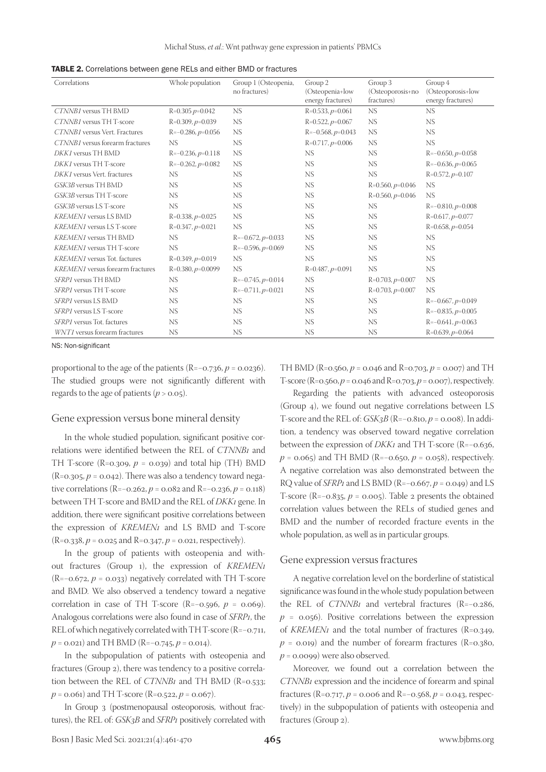| TABLE 2. Correlations between gene RELs and either BMD or fractures |  |  |
|---------------------------------------------------------------------|--|--|
|---------------------------------------------------------------------|--|--|

| Correlations                            | Whole population    | Group 1 (Osteopenia,<br>no fractures) | Group 2<br>(Osteopenia+low<br>energy fractures) | Group 3<br>(Osteoporosis+no<br>fractures) | Group 4<br>(Osteoporosis+low<br>energy fractures) |
|-----------------------------------------|---------------------|---------------------------------------|-------------------------------------------------|-------------------------------------------|---------------------------------------------------|
| CTNNB1 versus TH BMD                    | $R=0.305 p=0.042$   | <b>NS</b>                             | $R=0.533, p=0.061$                              | NS.                                       | <b>NS</b>                                         |
| CTNNB1 versus TH T-score                | $R=0.309, p=0.039$  | <b>NS</b>                             | $R=0.522, p=0.067$                              | <b>NS</b>                                 | <b>NS</b>                                         |
| CTNNB1 versus Vert. Fractures           | $R=-0.286, p=0.056$ | NS                                    | $R=-0.568, p=0.043$                             | <b>NS</b>                                 | <b>NS</b>                                         |
| CTNNB1 versus forearm fractures         | <b>NS</b>           | NS                                    | $R=0.717, p=0.006$                              | <b>NS</b>                                 | <b>NS</b>                                         |
| DKK1 versus TH BMD                      | $R=-0.236, p=0.118$ | <b>NS</b>                             | NS.                                             | <b>NS</b>                                 | $R=-0.650, p=0.058$                               |
| DKK1 versus TH T-score                  | $R=-0.262, p=0.082$ | NS                                    | <b>NS</b>                                       | <b>NS</b>                                 | $R=-0.636, p=0.065$                               |
| DKK1 versus Vert. fractures             | NS.                 | NS                                    | <b>NS</b>                                       | NS.                                       | $R=0.572, p=0.107$                                |
| GSK3B versus TH BMD                     | <b>NS</b>           | NS                                    | <b>NS</b>                                       | $R=0.560, p=0.046$                        | <b>NS</b>                                         |
| GSK3B versus TH T-score                 | <b>NS</b>           | NS                                    | <b>NS</b>                                       | $R=0.560, p=0.046$                        | <b>NS</b>                                         |
| GSK3B versus LS T-score                 | <b>NS</b>           | NS                                    | <b>NS</b>                                       | NS.                                       | $R=-0.810, p=0.008$                               |
| <b>KREMEN1</b> versus LS BMD            | $R=0.338, p=0.025$  | NS                                    | <b>NS</b>                                       | <b>NS</b>                                 | $R=0.617, p=0.077$                                |
| <b>KREMEN1</b> versus LS T-score        | $R=0.347, p=0.021$  | <b>NS</b>                             | <b>NS</b>                                       | NS.                                       | $R=0.658, p=0.054$                                |
| <b>KREMEN1</b> versus TH BMD            | NS.                 | $R=-0.672, p=0.033$                   | <b>NS</b>                                       | <b>NS</b>                                 | <b>NS</b>                                         |
| <b>KREMEN1</b> versus TH T-score        | <b>NS</b>           | $R=-0.596, p=0.069$                   | <b>NS</b>                                       | <b>NS</b>                                 | <b>NS</b>                                         |
| <b>KREMEN1</b> versus Tot. factures     | $R=0.349, p=0.019$  | <b>NS</b>                             | NS                                              | <b>NS</b>                                 | <b>NS</b>                                         |
| <b>KREMEN1</b> versus forearm fractures | $R=0.380, p=0.0099$ | <b>NS</b>                             | $R=0.487, p=0.091$                              | <b>NS</b>                                 | <b>NS</b>                                         |
| SFRP1 versus TH BMD                     | NS.                 | $R=-0.745, p=0.014$                   | NS.                                             | $R=0.703, p=0.007$                        | <b>NS</b>                                         |
| SFRP1 versus TH T-score                 | <b>NS</b>           | $R=-0.711, p=0.021$                   | NS.                                             | $R=0.703, p=0.007$                        | <b>NS</b>                                         |
| SFRP1 versus LS BMD                     | NS.                 | <b>NS</b>                             | NS.                                             | NS.                                       | $R=-0.667, p=0.049$                               |
| SFRP1 versus LS T-score                 | <b>NS</b>           | NS                                    | NS.                                             | <b>NS</b>                                 | $R=-0.835, p=0.005$                               |
| SFRP1 versus Tot. factures              | NS.                 | NS                                    | NS.                                             | <b>NS</b>                                 | $R=-0.641, p=0.063$                               |
| WNT1 versus forearm fractures           | <b>NS</b>           | NS                                    | <b>NS</b>                                       | <b>NS</b>                                 | $R=0.639, p=0.064$                                |

NS: Non-significant

proportional to the age of the patients (R=−0.736, *p* = 0.0236). The studied groups were not significantly different with regards to the age of patients ( $p > 0.05$ ).

#### Gene expression versus bone mineral density

In the whole studied population, significant positive correlations were identified between the REL of *CTNNB1* and TH T-score (R=0.309,  $p = 0.039$ ) and total hip (TH) BMD  $(R=0.305, p=0.042)$ . There was also a tendency toward negative correlations (R=−0.262, *p* = 0.082 and R=−0.236, *p* = 0.118) between TH T-score and BMD and the REL of *DKK1* gene. In addition, there were significant positive correlations between the expression of *KREMEN1* and LS BMD and T-score  $(R=0.338, p=0.025$  and  $R=0.347, p=0.021$ , respectively).

In the group of patients with osteopenia and without fractures (Group 1), the expression of *KREMEN1* (R=−0.672, *p* = 0.033) negatively correlated with TH T-score and BMD. We also observed a tendency toward a negative correlation in case of TH T-score (R=−0.596, *p* = 0.069). Analogous correlations were also found in case of *SFRP1*, the REL of which negatively correlated with TH T-score (R=−0.711, *p* = 0.021) and TH BMD (R=−0.745, *p* = 0.014).

In the subpopulation of patients with osteopenia and fractures (Group 2), there was tendency to a positive correlation between the REL of *CTNNB1* and TH BMD (R=0.533;  $p = 0.061$  and TH T-score (R=0.522,  $p = 0.067$ ).

In Group 3 (postmenopausal osteoporosis, without fractures), the REL of: *GSK3B* and *SFRP1* positively correlated with TH BMD (R=0.560, *p* = 0.046 and R=0.703, *p* = 0.007) and TH T-score (R=0.560, *p* = 0.046 and R=0.703, *p* = 0.007), respectively.

Regarding the patients with advanced osteoporosis (Group 4), we found out negative correlations between LS T-score and the REL of: *GSK3B* (R=−0.810, *p* = 0.008). In addition, a tendency was observed toward negative correlation between the expression of *DKK1* and TH T-score (R=−0.636, *p* = 0.065) and TH BMD (R=−0.650, *p* = 0.058), respectively. A negative correlation was also demonstrated between the RQ value of *SFRP1* and LS BMD (R=−0.667, *p* = 0.049) and LS T-score (R=−0.835, *p* = 0.005). Table 2 presents the obtained correlation values between the RELs of studied genes and BMD and the number of recorded fracture events in the whole population, as well as in particular groups.

#### Gene expression versus fractures

A negative correlation level on the borderline of statistical significance was found in the whole study population between the REL of *CTNNB1* and vertebral fractures (R=−0.286,  $p = 0.056$ ). Positive correlations between the expression of *KREMEN1* and the total number of fractures (R=0.349,  $p = 0.019$ ) and the number of forearm fractures (R=0.380,  $p = 0.0099$ ) were also observed.

Moreover, we found out a correlation between the *CTNNB1* expression and the incidence of forearm and spinal fractures (R= $0.717$ ,  $p = 0.006$  and R= $-0.568$ ,  $p = 0.043$ , respectively) in the subpopulation of patients with osteopenia and fractures (Group 2).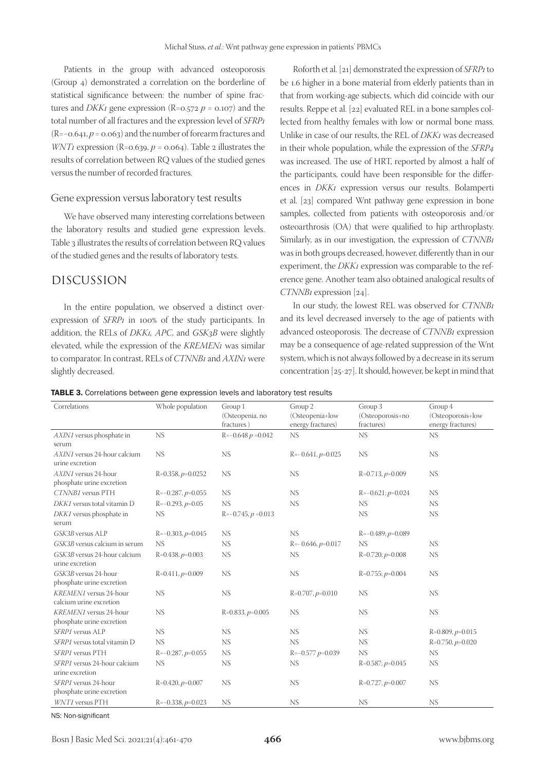Patients in the group with advanced osteoporosis (Group 4) demonstrated a correlation on the borderline of statistical significance between: the number of spine fractures and *DKK1* gene expression ( $R = 0.572$  *p* = 0.107) and the total number of all fractures and the expression level of *SFRP1* (R=−0.641, *p* = 0.063) and the number of forearm fractures and *WNT1* expression ( $R = 0.639$ ,  $p = 0.064$ ). Table 2 illustrates the results of correlation between RQ values of the studied genes versus the number of recorded fractures.

#### Gene expression versus laboratory test results

We have observed many interesting correlations between the laboratory results and studied gene expression levels. Table 3 illustrates the results of correlation between RQ values of the studied genes and the results of laboratory tests.

## DISCUSSION

In the entire population, we observed a distinct overexpression of *SFRP1* in 100% of the study participants. In addition, the RELs of *DKK1, APC*, and *GSK3B* were slightly elevated, while the expression of the *KREMEN1* was similar to comparator. In contrast, RELs of *CTNNB1* and *AXIN1* were slightly decreased.

Roforth et al. [21] demonstrated the expression of *SFRP1* to be 1.6 higher in a bone material from elderly patients than in that from working-age subjects, which did coincide with our results. Reppe et al. [22] evaluated REL in a bone samples collected from healthy females with low or normal bone mass. Unlike in case of our results, the REL of *DKK1* was decreased in their whole population, while the expression of the *SFRP4* was increased. The use of HRT, reported by almost a half of the participants, could have been responsible for the differences in *DKK1* expression versus our results. Bolamperti et al. [23] compared Wnt pathway gene expression in bone samples, collected from patients with osteoporosis and/or osteoarthrosis (OA) that were qualified to hip arthroplasty. Similarly, as in our investigation, the expression of *CTNNB1* was in both groups decreased, however, differently than in our experiment, the *DKK1* expression was comparable to the reference gene. Another team also obtained analogical results of *CTNNB1* expression [24].

In our study, the lowest REL was observed for *CTNNB1* and its level decreased inversely to the age of patients with advanced osteoporosis. The decrease of *CTNNB1* expression may be a consequence of age-related suppression of the Wnt system, which is not always followed by a decrease in its serum concentration [25-27]. It should, however, be kept in mind that

|  |  | TABLE 3. Correlations between gene expression levels and laboratory test results |
|--|--|----------------------------------------------------------------------------------|
|--|--|----------------------------------------------------------------------------------|

| Correlations                                        | Whole population    | Group 1<br>(Osteopenia, no<br>fractures) | Group 2<br>(Osteopenia+low<br>energy fractures) | Group 3<br>(Osteoporosis+no<br>fractures) | Group 4<br>(Osteoporosis+low<br>energy fractures) |
|-----------------------------------------------------|---------------------|------------------------------------------|-------------------------------------------------|-------------------------------------------|---------------------------------------------------|
| AXIN1 versus phosphate in<br>serum                  | <b>NS</b>           | $R = -0.648 p = 0.042$                   | NS                                              | NS                                        | <b>NS</b>                                         |
| AXIN1 versus 24-hour calcium<br>urine excretion     | <b>NS</b>           | <b>NS</b>                                | $R = -0.641, p = 0.025$                         | <b>NS</b>                                 | <b>NS</b>                                         |
| AXIN1 versus 24-hour<br>phosphate urine excretion   | $R=0.358, p=0.0252$ | <b>NS</b>                                | <b>NS</b>                                       | $R=0.713, p=0.009$                        | <b>NS</b>                                         |
| CTNNB1 versus PTH                                   | $R=-0.287, p=0.055$ | <b>NS</b>                                | NS                                              | $R=-0.621; p=0.024$                       | NS.                                               |
| DKK1 versus total vitamin D                         | $R=-0.293, p=0.05$  | <b>NS</b>                                | <b>NS</b>                                       | <b>NS</b>                                 | <b>NS</b>                                         |
| DKK1 versus phosphate in<br>serum                   | <b>NS</b>           | $R=-0.745, p=0.013$                      |                                                 | NS                                        | <b>NS</b>                                         |
| GSK3B versus ALP                                    | $R=-0.303, p=0.045$ | NS.                                      | <b>NS</b>                                       | $R=-0.489; p=0.089$                       |                                                   |
| GSK3B versus calcium in serum                       | <b>NS</b>           | <b>NS</b>                                | $R = -0.646, p = 0.017$                         | NS                                        | NS                                                |
| GSK3B versus 24-hour calcium<br>urine excretion     | $R=0.438, p=0.003$  | <b>NS</b>                                | <b>NS</b>                                       | $R=0.720; p=0.008$                        | <b>NS</b>                                         |
| GSK3B versus 24-hour<br>phosphate urine excretion   | $R=0.411, p=0.009$  | <b>NS</b>                                | NS                                              | $R=0.755$ ; $p=0.004$                     | <b>NS</b>                                         |
| KREMEN1 versus 24-hour<br>calcium urine excretion   | <b>NS</b>           | <b>NS</b>                                | $R=0.707, p=0.010$                              | NS                                        | <b>NS</b>                                         |
| KREMEN1 versus 24-hour<br>phosphate urine excretion | <b>NS</b>           | $R=0.833, p=0.005$                       | <b>NS</b>                                       | <b>NS</b>                                 | <b>NS</b>                                         |
| SFRP1 versus ALP                                    | NS                  | NS                                       | <b>NS</b>                                       | <b>NS</b>                                 | $R=0.809, p=0.015$                                |
| SFRP1 versus total vitamin D                        | <b>NS</b>           | <b>NS</b>                                | <b>NS</b>                                       | <b>NS</b>                                 | $R=0.750, p=0.020$                                |
| SFRP1 versus PTH                                    | $R=-0.287, p=0.055$ | <b>NS</b>                                | $R = -0.577 p = 0.039$                          | NS                                        | <b>NS</b>                                         |
| SFRP1 versus 24-hour calcium<br>urine excretion     | <b>NS</b>           | <b>NS</b>                                | <b>NS</b>                                       | $R=0.587; p=0.045$                        | <b>NS</b>                                         |
| SFRP1 versus 24-hour<br>phosphate urine excretion   | $R=0.420, p=0.007$  | <b>NS</b>                                | NS                                              | $R=0.727, p=0.007$                        | <b>NS</b>                                         |
| WNT1 versus PTH                                     | $R=-0.338, p=0.023$ | <b>NS</b>                                | <b>NS</b>                                       | <b>NS</b>                                 | <b>NS</b>                                         |

NS: Non-significant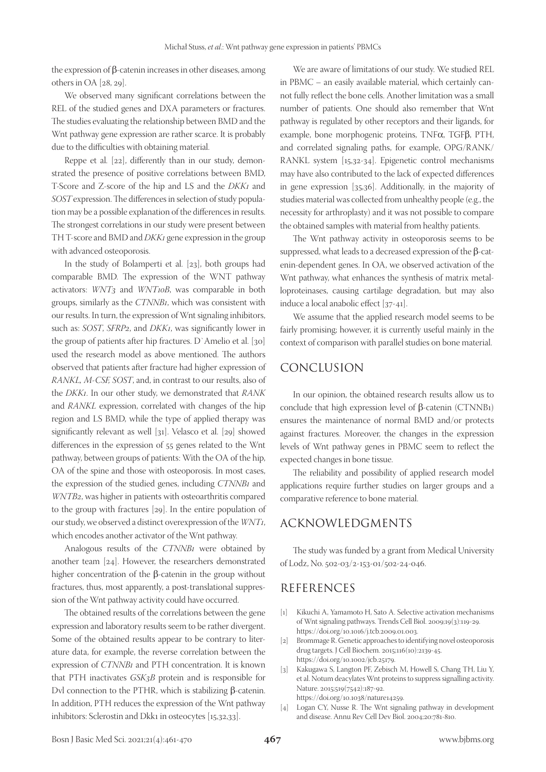the expression of β-catenin increases in other diseases, among others in OA [28, 29].

We observed many significant correlations between the REL of the studied genes and DXA parameters or fractures. The studies evaluating the relationship between BMD and the Wnt pathway gene expression are rather scarce. It is probably due to the difficulties with obtaining material.

Reppe et al. [22], differently than in our study, demonstrated the presence of positive correlations between BMD, T-Score and Z-score of the hip and LS and the *DKK1* and *SOST* expression. The differences in selection of study population may be a possible explanation of the differences in results. The strongest correlations in our study were present between TH T-score and BMD and *DKK1* gene expression in the group with advanced osteoporosis.

In the study of Bolamperti et al. [23], both groups had comparable BMD. The expression of the WNT pathway activators: *WNT3* and *WNT10B*, was comparable in both groups, similarly as the *CTNNB1*, which was consistent with our results. In turn, the expression of Wnt signaling inhibitors, such as: *SOST*, *SFRP2*, and *DKK1*, was significantly lower in the group of patients after hip fractures. D`Amelio et al. [30] used the research model as above mentioned. The authors observed that patients after fracture had higher expression of *RANKL, M-CSF, SOST*, and, in contrast to our results, also of the *DKK1*. In our other study, we demonstrated that *RANK* and *RANKL* expression, correlated with changes of the hip region and LS BMD, while the type of applied therapy was significantly relevant as well [31]. Velasco et al. [29] showed differences in the expression of 55 genes related to the Wnt pathway, between groups of patients: With the OA of the hip, OA of the spine and those with osteoporosis. In most cases, the expression of the studied genes, including *CTNNB1* and *WNTB2*, was higher in patients with osteoarthritis compared to the group with fractures [29]. In the entire population of our study, we observed a distinct overexpression of the *WNT1*, which encodes another activator of the Wnt pathway.

Analogous results of the *CTNNB1* were obtained by another team [24]. However, the researchers demonstrated higher concentration of the β-catenin in the group without fractures, thus, most apparently, a post-translational suppression of the Wnt pathway activity could have occurred.

The obtained results of the correlations between the gene expression and laboratory results seem to be rather divergent. Some of the obtained results appear to be contrary to literature data, for example, the reverse correlation between the expression of *CTNNB1* and PTH concentration. It is known that PTH inactivates *GSK3B* protein and is responsible for Dvl connection to the PTHR, which is stabilizing β-catenin. In addition, PTH reduces the expression of the Wnt pathway inhibitors: Sclerostin and Dkk1 in osteocytes [15,32,33].

We are aware of limitations of our study. We studied REL in PBMC – an easily available material, which certainly cannot fully reflect the bone cells. Another limitation was a small number of patients. One should also remember that Wnt pathway is regulated by other receptors and their ligands, for example, bone morphogenic proteins, TNFα, TGFβ, PTH, and correlated signaling paths, for example, OPG/RANK/ RANKL system [15,32-34]. Epigenetic control mechanisms may have also contributed to the lack of expected differences in gene expression [35,36]. Additionally, in the majority of studies material was collected from unhealthy people (e.g., the necessity for arthroplasty) and it was not possible to compare the obtained samples with material from healthy patients.

The Wnt pathway activity in osteoporosis seems to be suppressed, what leads to a decreased expression of the β-catenin-dependent genes. In OA, we observed activation of the Wnt pathway, what enhances the synthesis of matrix metalloproteinases, causing cartilage degradation, but may also induce a local anabolic effect [37-41].

We assume that the applied research model seems to be fairly promising; however, it is currently useful mainly in the context of comparison with parallel studies on bone material.

## CONCLUSION

In our opinion, the obtained research results allow us to conclude that high expression level of β-catenin (CTNNB1) ensures the maintenance of normal BMD and/or protects against fractures. Moreover, the changes in the expression levels of Wnt pathway genes in PBMC seem to reflect the expected changes in bone tissue.

The reliability and possibility of applied research model applications require further studies on larger groups and a comparative reference to bone material.

## ACKNOWLEDGMENTS

The study was funded by a grant from Medical University of Lodz, No. 502-03/2-153-01/502-24-046.

## REFERENCES

- [1] Kikuchi A, Yamamoto H, Sato A. Selective activation mechanisms of Wnt signaling pathways. Trends Cell Biol. 2009;19(3):119-29. https://doi.org/10.1016/j.tcb.2009.01.003.
- [2] Brommage R. Genetic approaches to identifying novel osteoporosis drug targets. J Cell Biochem. 2015;116(10):2139-45. https://doi.org/10.1002/jcb.25179.
- [3] Kakugawa S, Langton PF, Zebisch M, Howell S, Chang TH, Liu Y, et al. Notum deacylates Wnt proteins to suppress signalling activity. Nature. 2015;519(7542):187-92. https://doi.org/10.1038/nature14259.
- [4] Logan CY, Nusse R. The Wnt signaling pathway in development and disease. Annu Rev Cell Dev Biol. 2004;20:781-810.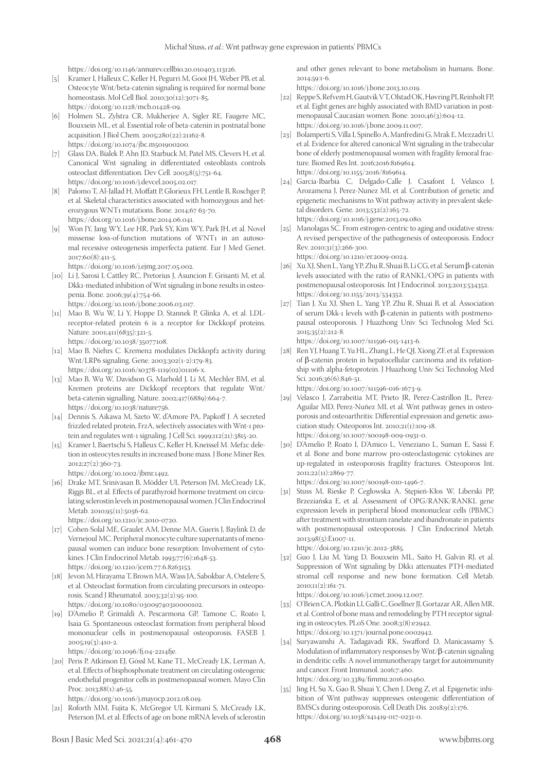https://doi.org/10.1146/annurev.cellbio.20.010403.113126.

- [5] Kramer I, Halleux C, Keller H, Pegurri M, Gooi JH, Weber PB, et al. Osteocyte Wnt/beta-catenin signaling is required for normal bone homeostasis. Mol Cell Biol. 2010;30(12):3071-85. https://doi.org/10.1128/mcb.01428-09.
- [6] Holmen SL, Zylstra CR, Mukherjee A, Sigler RE, Faugere MC, Bouxsein ML, et al. Essential role of beta-catenin in postnatal bone acquisition. J Biol Chem. 2005;280(22):21162-8. https://doi.org/10.1074/jbc.m501900200.
- [7] Glass DA, Bialek P, Ahn JD, Starbuck M, Patel MS, Clevers H, et al. Canonical Wnt signaling in differentiated osteoblasts controls osteoclast differentiation. Dev Cell. 2005;8(5):751-64. https://doi.org/10.1016/j.devcel.2005.02.017.
- [8] Palomo T, Al-Jallad H, Moffatt P, Glorieux FH, Lentle B, Roschger P, et al. Skeletal characteristics associated with homozygous and heterozygous WNT1 mutations. Bone. 2014;67 63-70. https://doi.org/10.1016/j.bone.2014.06.041.
- [9] Won JY, Jang WY, Lee HR, Park SY, Kim WY, Park JH, et al. Novel missense loss-of-function mutations of WNT1 in an autosomal recessive osteogenesis imperfecta patient. Eur J Med Genet. 2017;60(8):411-5.

https://doi.org/10.1016/j.ejmg.2017.05.002.

- [10] Li J, Sarosi I, Cattley RC, Pretorius J, Asuncion F, Grisanti M, et al. Dkk1-mediated inhibition of Wnt signaling in bone results in osteopenia. Bone. 2006;39(4):754-66. https://doi.org/10.1016/j.bone.2006.03.017.
- [11] Mao B, Wu W, Li Y, Hoppe D, Stannek P, Glinka A, et al. LDLreceptor-related protein 6 is a receptor for Dickkopf proteins. Nature. 2001;411(6835):321-5. https://doi.org/10.1038/35077108.
- [12] Mao B, Niehrs C. Kremen2 modulates Dickkopf2 activity during Wnt/LRP6 signaling. Gene. 2003;302(1-2):179-83. https://doi.org/10.1016/s0378-1119(02)01106-x.
- [13] Mao B, Wu W, Davidson G, Marhold J, Li M, Mechler BM, et al. Kremen proteins are Dickkopf receptors that regulate Wnt/ beta-catenin signalling. Nature. 2002;417(6889):664-7. https://doi.org/10.1038/nature756.
- [14] Dennis S, Aikawa M, Szeto W, d'Amore PA, Papkoff J. A secreted frizzled related protein, FrzA, selectively associates with Wnt-1 protein and regulates wnt-1 signaling. J Cell Sci. 1999;112(21):3815-20.
- [15] Kramer I, Baertschi S, Halleux C, Keller H, Kneissel M. Mef2c deletion in osteocytes results in increased bone mass. J Bone Miner Res. 2012;27(2):360-73. https://doi.org/10.1002/jbmr.1492.
- [16] Drake MT, Srinivasan B, Mödder UI, Peterson JM, McCready LK, Riggs BL, et al. Effects of parathyroid hormone treatment on circulating sclerostin levels in postmenopausal women. J Clin Endocrinol Metab. 2010;95(11):5056-62.

https://doi.org/10.1210/jc.2010-0720.

- [17] Cohen-Solal ME, Graulet AM, Denne MA, Gueris J, Baylink D, de Vernejoul MC. Peripheral monocyte culture supernatants of menopausal women can induce bone resorption: Involvement of cytokines. J Clin Endocrinol Metab. 1993;77(6):1648-53. https://doi.org/10.1210/jcem.77.6.8263153.
- [18] Jevon M, Hirayama T, Brown MA, Wass JA, Sabokbar A, Ostelere S, et al. Osteoclast formation from circulating precursors in osteoporosis. Scand J Rheumatol. 2003;32(2):95-100. https://doi.org/10.1080/03009740310000102.
- [19] D'Amelio P, Grimaldi A, Pescarmona GP, Tamone C, Roato I, Isaia G. Spontaneous osteoclast formation from peripheral blood mononuclear cells in postmenopausal osteoporosis. FASEB J. 2005;19(3):410-2.

https://doi.org/10.1096/fj.04-2214fje.

[20] Peris P, Atkinson EJ, Gössl M, Kane TL, McCready LK, Lerman A, et al. Effects of bisphosphonate treatment on circulating osteogenic endothelial progenitor cells in postmenopausal women. Mayo Clin Proc. 2013;88(1):46-55.

https://doi.org/10.1016/j.mayocp.2012.08.019.

[21] Roforth MM, Fujita K, McGregor UI, Kirmani S, McCready LK, Peterson JM, et al. Effects of age on bone mRNA levels of sclerostin and other genes relevant to bone metabolism in humans. Bone. 2014;59:1-6.

https://doi.org/10.1016/j.bone.2013.10.019.

- [22] Reppe S, Refvem H, Gautvik VT, Olstad OK, Høvring PI, Reinholt FP, et al. Eight genes are highly associated with BMD variation in postmenopausal Caucasian women. Bone. 2010;46(3):604-12. https://doi.org/10.1016/j.bone.2009.11.007.
- [23] Bolamperti S, Villa I, Spinello A, Manfredini G, Mrak E, Mezzadri U, et al. Evidence for altered canonical Wnt signaling in the trabecular bone of elderly postmenopausal women with fragility femoral fracture. Biomed Res Int. 2016;2016:8169614. https://doi.org/10.1155/2016/8169614.
- [24] Garcia-Ibarbia C, Delgado-Calle J, Casafont I, Velasco J, Arozamena J, Perez-Nunez MI, et al. Contribution of genetic and epigenetic mechanisms to Wnt pathway activity in prevalent skeletal disorders. Gene. 2013;532(2):165-72. https://doi.org/10.1016/j.gene.2013.09.080.
- [25] Manolagas SC. From estrogen-centric to aging and oxidative stress: A revised perspective of the pathogenesis of osteoporosis. Endocr Rev. 2010;31(3):266-300. https://doi.org/10.1210/er.2009-0024.
- [26] Xu XJ, Shen L, Yang YP, Zhu R, Shuai B, Li CG, et al. Serum β-catenin levels associated with the ratio of RANKL/OPG in patients with postmenopausal osteoporosis. Int J Endocrinol. 2013;2013:534352. https://doi.org/10.1155/2013/534352.
- [27] Tian J, Xu XJ, Shen L, Yang YP, Zhu R, Shuai B, et al. Association of serum Dkk-1 levels with β-catenin in patients with postmenopausal osteoporosis. J Huazhong Univ Sci Technolog Med Sci. 2015;35(2):212-8.

https://doi.org/10.1007/s11596-015-1413-6.

[28] Ren YJ, Huang T, Yu HL, Zhang L, He QJ, Xiong ZF, et al. Expression of β-catenin protein in hepatocellular carcinoma and its relationship with alpha-fetoprotein. J Huazhong Univ Sci Technolog Med Sci. 2016;36(6):846-51.

https://doi.org/10.1007/s11596-016-1673-9.

- [29] Velasco J, Zarrabeitia MT, Prieto JR, Perez-Castrillon JL, Perez-Aguilar MD, Perez-Nuñez MI, et al. Wnt pathway genes in osteoporosis and osteoarthritis: Differential expression and genetic association study. Osteoporos Int. 2010;21(1):109-18. https://doi.org/10.1007/s00198-009-0931-0.
- [30] D'Amelio P, Roato I, D'Amico L, Veneziano L, Suman E, Sassi F, et al. Bone and bone marrow pro-osteoclastogenic cytokines are up-regulated in osteoporosis fragility fractures. Osteoporos Int. 2011;22(11):2869-77.

https://doi.org/10.1007/s00198-010-1496-7.

- [31] Stuss M, Rieske P, Cegłowska A, Stępień-Kłos W, Liberski PP, Brzeziańska E, et al. Assessment of OPG/RANK/RANKL gene expression levels in peripheral blood mononuclear cells (PBMC) after treatment with strontium ranelate and ibandronate in patients with postmenopausal osteoporosis. J Clin Endocrinol Metab. 2013;98(5):E1007-11.
- https://doi.org/10.1210/jc.2012-3885. [32] Guo J, Liu M, Yang D, Bouxsein ML, Saito H, Galvin RJ, et al. Suppression of Wnt signaling by Dkk1 attenuates PTH-mediated
- stromal cell response and new bone formation. Cell Metab. 2010;11(2):161-71. https://doi.org/10.1016/j.cmet.2009.12.007.
- [33] O'Brien CA, Plotkin LI, Galli C, Goellner JJ, Gortazar AR, Allen MR, et al. Control of bone mass and remodeling by PTH receptor signaling in osteocytes. PLoS One. 2008;3(8):e2942. https://doi.org/10.1371/journal.pone.0002942.
- [34] Suryawanshi A, Tadagavadi RK, Swafford D, Manicassamy S. Modulation of inflammatory responses by Wnt/β-catenin signaling in dendritic cells: A novel immunotherapy target for autoimmunity and cancer. Front Immunol. 2016;7:460. https://doi.org/10.3389/fimmu.2016.00460.
- [35] Jing H, Su X, Gao B, Shuai Y, Chen J, Deng Z, et al. Epigenetic inhibition of Wnt pathway suppresses osteogenic differentiation of BMSCs during osteoporosis. Cell Death Dis. 2018;9(2):176. https://doi.org/10.1038/s41419-017-0231-0.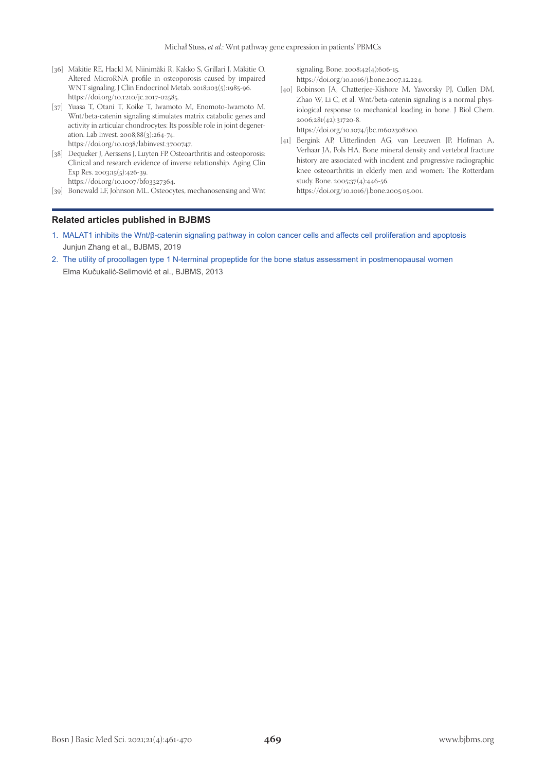- [36] Mäkitie RE, Hackl M, Niinimäki R, Kakko S, Grillari J, Mäkitie O. Altered MicroRNA profile in osteoporosis caused by impaired WNT signaling. J Clin Endocrinol Metab. 2018;103(5):1985-96. https://doi.org/10.1210/jc.2017-02585.
- [37] Yuasa T, Otani T, Koike T, Iwamoto M, Enomoto-Iwamoto M. Wnt/beta-catenin signaling stimulates matrix catabolic genes and activity in articular chondrocytes: Its possible role in joint degeneration. Lab Invest. 2008;88(3):264-74. https://doi.org/10.1038/labinvest.3700747.
- [38] Dequeker J, Aerssens J, Luyten FP. Osteoarthritis and osteoporosis: Clinical and research evidence of inverse relationship. Aging Clin Exp Res. 2003;15(5):426-39. https://doi.org/10.1007/bf03327364.
- [39] Bonewald LF, Johnson ML. Osteocytes, mechanosensing and Wnt

signaling. Bone. 2008;42(4):606-15. https://doi.org/10.1016/j.bone.2007.12.224.

[40] Robinson JA, Chatterjee-Kishore M, Yaworsky PJ, Cullen DM, Zhao W, Li C, et al. Wnt/beta-catenin signaling is a normal physiological response to mechanical loading in bone. J Biol Chem. 2006;281(42):31720-8.

https://doi.org/10.1074/jbc.m602308200.

[41] Bergink AP, Uitterlinden AG, van Leeuwen JP, Hofman A, Verhaar JA, Pols HA. Bone mineral density and vertebral fracture history are associated with incident and progressive radiographic knee osteoarthritis in elderly men and women: The Rotterdam study. Bone. 2005;37(4):446-56. https://doi.org/10.1016/j.bone.2005.05.001.

#### **Related articles published in BJBMS**

- 1. [MALAT1 inhibits the Wnt/β-catenin signaling pathway in colon cancer cells and affects cell proliferation and apoptosis](https://bjbms.org/ojs/index.php/bjbms/article/view/4408) Junjun Zhang et al., BJBMS, 2019
- 2. [The utility of procollagen type 1 N-terminal propeptide for the bone status assessment in postmenopausal women](https://www.bjbms.org/ojs/index.php/bjbms/article/view/2337) Elma Kučukalić-Selimović et al., BJBMS, 2013